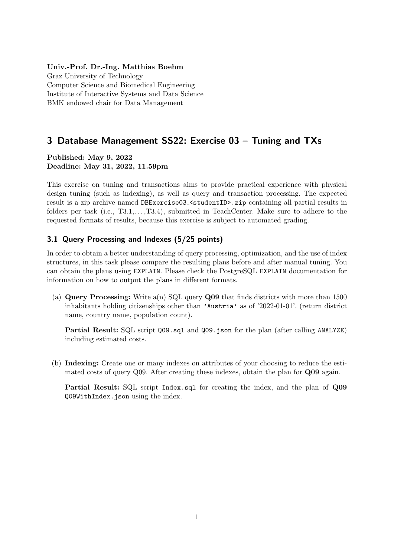#### Univ.-Prof. Dr.-Ing. Matthias Boehm

Graz University of Technology Computer Science and Biomedical Engineering Institute of Interactive Systems and Data Science BMK endowed chair for Data Management

# 3 Database Management SS22: Exercise 03 – Tuning and TXs

Published: May 9, 2022 Deadline: May 31, 2022, 11.59pm

This exercise on tuning and transactions aims to provide practical experience with physical design tuning (such as indexing), as well as query and transaction processing. The expected result is a zip archive named DBExercise03\_<studentID>.zip containing all partial results in folders per task (i.e., T3.1,..., T3.4), submitted in TeachCenter. Make sure to adhere to the requested formats of results, because this exercise is subject to automated grading.

## 3.1 Query Processing and Indexes (5/25 points)

In order to obtain a better understanding of query processing, optimization, and the use of index structures, in this task please compare the resulting plans before and after manual tuning. You can obtain the plans using EXPLAIN. Please check the PostgreSQL EXPLAIN documentation for information on how to output the plans in different formats.

(a) **Query Processing:** Write  $a(n)$  SQL query **Q09** that finds districts with more than 1500 inhabitants holding citizenships other than 'Austria' as of '2022-01-01'. (return district name, country name, population count).

Partial Result: SQL script Q09.sql and Q09.json for the plan (after calling ANALYZE) including estimated costs.

(b) Indexing: Create one or many indexes on attributes of your choosing to reduce the estimated costs of query Q09. After creating these indexes, obtain the plan for Q09 again.

Partial Result: SQL script Index.sql for creating the index, and the plan of Q09 Q09WithIndex.json using the index.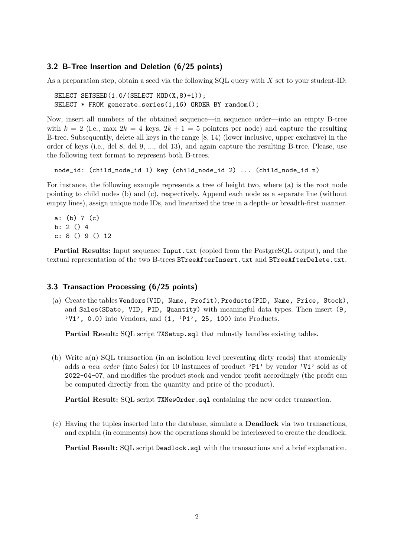#### 3.2 B-Tree Insertion and Deletion (6/25 points)

As a preparation step, obtain a seed via the following  $SQL$  query with X set to your student-ID:

```
SELECT SETSEED(1.0/(SELECT MOD(X,8)+1));
SELECT * FROM generate_series(1,16) ORDER BY random();
```
Now, insert all numbers of the obtained sequence—in sequence order—into an empty B-tree with  $k = 2$  (i.e., max  $2k = 4$  keys,  $2k + 1 = 5$  pointers per node) and capture the resulting B-tree. Subsequently, delete all keys in the range [8, 14) (lower inclusive, upper exclusive) in the order of keys (i.e., del 8, del 9, ..., del 13), and again capture the resulting B-tree. Please, use the following text format to represent both B-trees.

```
node_id: (child_node_id 1) key (child_node_id 2) ... (child_node_id n)
```
For instance, the following example represents a tree of height two, where (a) is the root node pointing to child nodes (b) and (c), respectively. Append each node as a separate line (without empty lines), assign unique node IDs, and linearized the tree in a depth- or breadth-first manner.

a: (b) 7 (c) b: 2 () 4 c: 8 () 9 () 12

Partial Results: Input sequence Input.txt (copied from the PostgreSQL output), and the textual representation of the two B-trees BTreeAfterInsert.txt and BTreeAfterDelete.txt.

### 3.3 Transaction Processing (6/25 points)

(a) Create the tables Vendors(VID, Name, Profit), Products(PID, Name, Price, Stock), and Sales(SDate, VID, PID, Quantity) with meaningful data types. Then insert (9,  $'V1'$ , 0.0) into Vendors, and  $(1, 'P1', 25, 100)$  into Products.

Partial Result: SQL script TXSetup.sql that robustly handles existing tables.

(b) Write a(n) SQL transaction (in an isolation level preventing dirty reads) that atomically adds a new order (into Sales) for 10 instances of product 'P1' by vendor 'V1' sold as of 2022-04-07, and modifies the product stock and vendor profit accordingly (the profit can be computed directly from the quantity and price of the product).

Partial Result: SQL script TXNewOrder.sql containing the new order transaction.

(c) Having the tuples inserted into the database, simulate a Deadlock via two transactions, and explain (in comments) how the operations should be interleaved to create the deadlock.

Partial Result: SQL script Deadlock.sql with the transactions and a brief explanation.